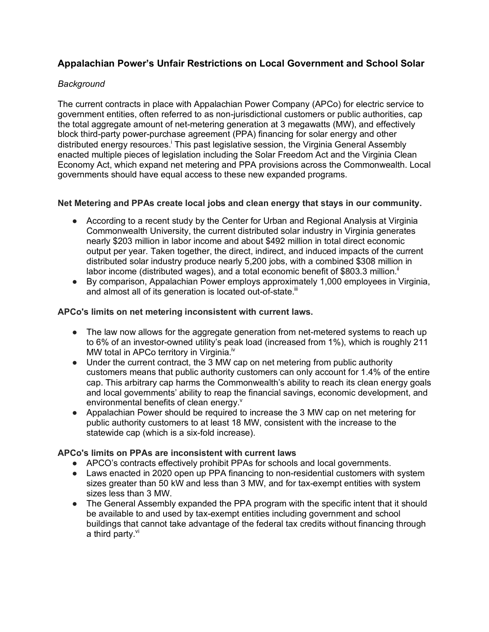# **Appalachian Power's Unfair Restrictions on Local Government and School Solar**

## *Background*

The current contracts in place with Appalachian Power Company (APCo) for electric service to government entities, often referred to as non-jurisdictional customers or public authorities, cap the total aggregate amount of net-metering generation at 3 megawatts (MW), and effectively block third-party power-purchase agreement (PPA) financing for solar energy and other distributed energy resources.<sup>i</sup> This past legislative session, the Virginia General Assembly enacted multiple pieces of legislation including the Solar Freedom Act and the Virginia Clean Economy Act, which expand net metering and PPA provisions across the Commonwealth. Local governments should have equal access to these new expanded programs.

#### **Net Metering and PPAs create local jobs and clean energy that stays in our community.**

- According to a recent study by the Center for Urban and Regional Analysis at Virginia Commonwealth University, the current distributed solar industry in Virginia generates nearly \$203 million in labor income and about \$492 million in total direct economic output per year. Taken together, the direct, indirect, and induced impacts of the current distributed solar industry produce nearly 5,200 jobs, with a combined \$308 million in labor income (distributed wages), and a total economic benefit of \$803.3 million. $\mathbb{I}$
- By comparison, Appalachian Power employs approximately 1,000 employees in Virginia, and almost all of its generation is located out-of-state.<sup>iii</sup>

#### **APCo's limits on net metering inconsistent with current laws.**

- The law now allows for the aggregate generation from net-metered systems to reach up to 6% of an investor-owned utility's peak load (increased from 1%), which is roughly 211 MW total in APCo territory in Virginia.<sup>iv</sup>
- Under the current contract, the 3 MW cap on net metering from public authority customers means that public authority customers can only account for 1.4% of the entire cap. This arbitrary cap harms the Commonwealth's ability to reach its clean energy goals and local governments' ability to reap the financial savings, economic development, and environmental benefits of clean energy.<sup>v</sup>
- Appalachian Power should be required to increase the 3 MW cap on net metering for public authority customers to at least 18 MW, consistent with the increase to the statewide cap (which is a six-fold increase).

#### **APCo's limits on PPAs are inconsistent with current laws**

- APCO's contracts effectively prohibit PPAs for schools and local governments.
- Laws enacted in 2020 open up PPA financing to non-residential customers with system sizes greater than 50 kW and less than 3 MW, and for tax-exempt entities with system sizes less than 3 MW.
- The General Assembly expanded the PPA program with the specific intent that it should be available to and used by tax-exempt entities including government and school buildings that cannot take advantage of the federal tax credits without financing through a third party.<sup>vi</sup>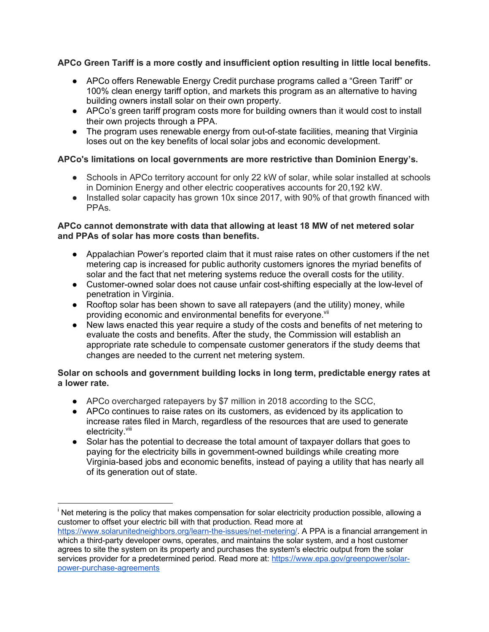# **APCo Green Tariff is a more costly and insufficient option resulting in little local benefits.**

- APCo offers Renewable Energy Credit purchase programs called a "Green Tariff" or 100% clean energy tariff option, and markets this program as an alternative to having building owners install solar on their own property.
- APCo's green tariff program costs more for building owners than it would cost to install their own projects through a PPA.
- The program uses renewable energy from out-of-state facilities, meaning that Virginia loses out on the key benefits of local solar jobs and economic development.

## **APCo's limitations on local governments are more restrictive than Dominion Energy's.**

- Schools in APCo territory account for only 22 kW of solar, while solar installed at schools in Dominion Energy and other electric cooperatives accounts for 20,192 kW.
- Installed solar capacity has grown 10x since 2017, with 90% of that growth financed with PPAs.

#### **APCo cannot demonstrate with data that allowing at least 18 MW of net metered solar and PPAs of solar has more costs than benefits.**

- Appalachian Power's reported claim that it must raise rates on other customers if the net metering cap is increased for public authority customers ignores the myriad benefits of solar and the fact that net metering systems reduce the overall costs for the utility.
- Customer-owned solar does not cause unfair cost-shifting especially at the low-level of penetration in Virginia.
- Rooftop solar has been shown to save all ratepayers (and the utility) money, while providing economic and environmental benefits for everyone.<sup>vii</sup>
- New laws enacted this year require a study of the costs and benefits of net metering to evaluate the costs and benefits. After the study, the Commission will establish an appropriate rate schedule to compensate customer generators if the study deems that changes are needed to the current net metering system.

#### **Solar on schools and government building locks in long term, predictable energy rates at a lower rate.**

- APCo overcharged ratepayers by \$7 million in 2018 according to the SCC,
- APCo continues to raise rates on its customers, as evidenced by its application to increase rates filed in March, regardless of the resources that are used to generate electricity.<sup>viii</sup>
- Solar has the potential to decrease the total amount of taxpayer dollars that goes to paying for the electricity bills in government-owned buildings while creating more Virginia-based jobs and economic benefits, instead of paying a utility that has nearly all of its generation out of state.

1

i Net metering is the policy that makes compensation for solar electricity production possible, allowing a customer to offset your electric bill with that production. Read more at

https://www.solarunitedneighbors.org/learn-the-issues/net-metering/. A PPA is a financial arrangement in which a third-party developer owns, operates, and maintains the solar system, and a host customer agrees to site the system on its property and purchases the system's electric output from the solar services provider for a predetermined period. Read more at: https://www.epa.gov/greenpower/solarpower-purchase-agreements